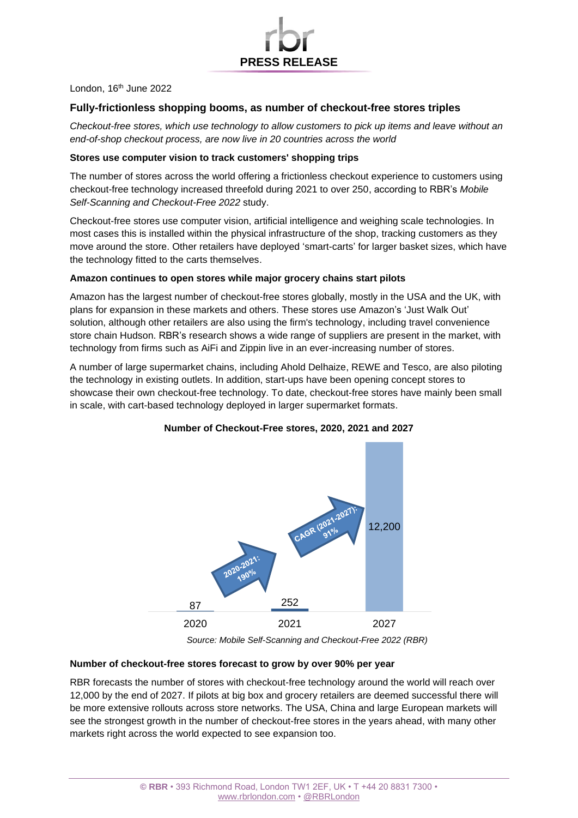

London, 16<sup>th</sup> June 2022

# **Fully-frictionless shopping booms, as number of checkout-free stores triples**

*Checkout-free stores, which use technology to allow customers to pick up items and leave without an end-of-shop checkout process, are now live in 20 countries across the world*

### **Stores use computer vision to track customers' shopping trips**

The number of stores across the world offering a frictionless checkout experience to customers using checkout-free technology increased threefold during 2021 to over 250, according to RBR's *Mobile Self-Scanning and Checkout-Free 2022* study.

Checkout-free stores use computer vision, artificial intelligence and weighing scale technologies. In most cases this is installed within the physical infrastructure of the shop, tracking customers as they move around the store. Other retailers have deployed 'smart-carts' for larger basket sizes, which have the technology fitted to the carts themselves.

## **Amazon continues to open stores while major grocery chains start pilots**

Amazon has the largest number of checkout-free stores globally, mostly in the USA and the UK, with plans for expansion in these markets and others. These stores use Amazon's 'Just Walk Out' solution, although other retailers are also using the firm's technology, including travel convenience store chain Hudson. RBR's research shows a wide range of suppliers are present in the market, with technology from firms such as AiFi and Zippin live in an ever-increasing number of stores.

A number of large supermarket chains, including Ahold Delhaize, REWE and Tesco, are also piloting the technology in existing outlets. In addition, start-ups have been opening concept stores to showcase their own checkout-free technology. To date, checkout-free stores have mainly been small in scale, with cart-based technology deployed in larger supermarket formats.



# **Number of Checkout-Free stores, 2020, 2021 and 2027**

*Source: Mobile Self-Scanning and Checkout-Free 2022 (RBR)*

### **Number of checkout-free stores forecast to grow by over 90% per year**

RBR forecasts the number of stores with checkout-free technology around the world will reach over 12,000 by the end of 2027. If pilots at big box and grocery retailers are deemed successful there will be more extensive rollouts across store networks. The USA, China and large European markets will see the strongest growth in the number of checkout-free stores in the years ahead, with many other markets right across the world expected to see expansion too.